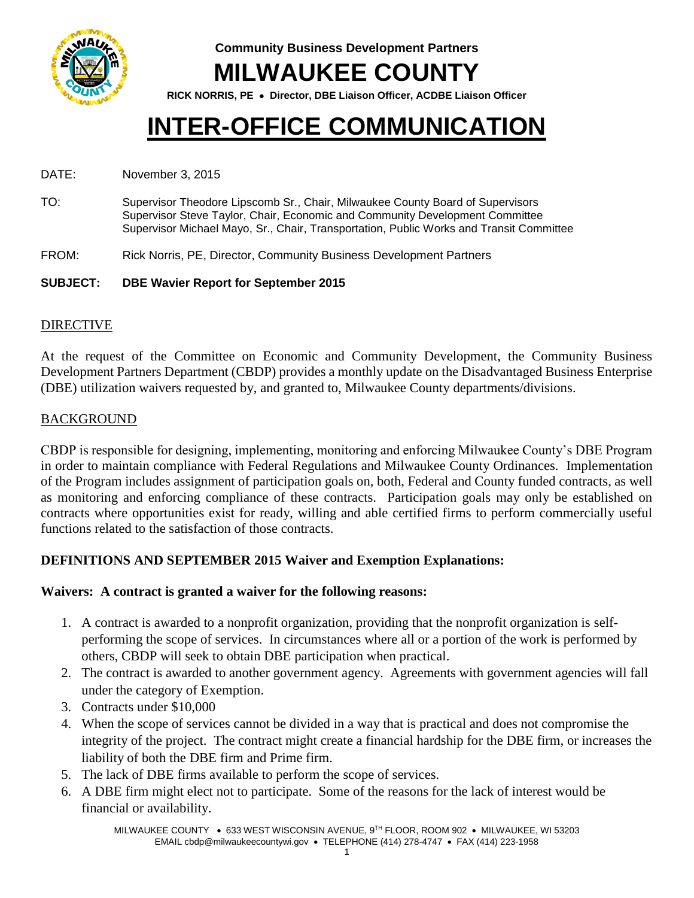

**Community Business Development Partners MILWAUKEE COUNTY**

**RICK NORRIS, PE Director, DBE Liaison Officer, ACDBE Liaison Officer**

# **INTER-OFFICE COMMUNICATION**

DATE: November 3, 2015

- TO: Supervisor Theodore Lipscomb Sr., Chair, Milwaukee County Board of Supervisors Supervisor Steve Taylor, Chair, Economic and Community Development Committee Supervisor Michael Mayo, Sr., Chair, Transportation, Public Works and Transit Committee
- FROM: Rick Norris, PE, Director, Community Business Development Partners
- **SUBJECT: DBE Wavier Report for September 2015**

### DIRECTIVE

At the request of the Committee on Economic and Community Development, the Community Business Development Partners Department (CBDP) provides a monthly update on the Disadvantaged Business Enterprise (DBE) utilization waivers requested by, and granted to, Milwaukee County departments/divisions.

### BACKGROUND

CBDP is responsible for designing, implementing, monitoring and enforcing Milwaukee County's DBE Program in order to maintain compliance with Federal Regulations and Milwaukee County Ordinances. Implementation of the Program includes assignment of participation goals on, both, Federal and County funded contracts, as well as monitoring and enforcing compliance of these contracts. Participation goals may only be established on contracts where opportunities exist for ready, willing and able certified firms to perform commercially useful functions related to the satisfaction of those contracts.

## **DEFINITIONS AND SEPTEMBER 2015 Waiver and Exemption Explanations:**

### **Waivers: A contract is granted a waiver for the following reasons:**

- 1. A contract is awarded to a nonprofit organization, providing that the nonprofit organization is selfperforming the scope of services. In circumstances where all or a portion of the work is performed by others, CBDP will seek to obtain DBE participation when practical.
- 2. The contract is awarded to another government agency. Agreements with government agencies will fall under the category of Exemption.
- 3. Contracts under \$10,000
- 4. When the scope of services cannot be divided in a way that is practical and does not compromise the integrity of the project. The contract might create a financial hardship for the DBE firm, or increases the liability of both the DBE firm and Prime firm.
- 5. The lack of DBE firms available to perform the scope of services.
- 6. A DBE firm might elect not to participate. Some of the reasons for the lack of interest would be financial or availability.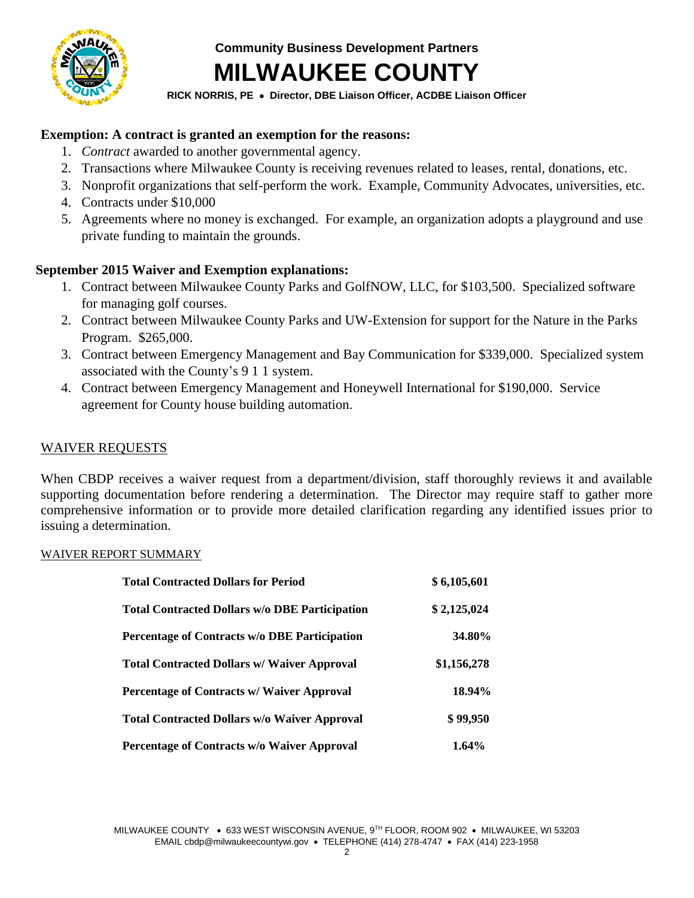

**Community Business Development Partners MILWAUKEE COUNTY**

#### **RICK NORRIS, PE Director, DBE Liaison Officer, ACDBE Liaison Officer**

#### **Exemption: A contract is granted an exemption for the reasons:**

- 1. *Contract* awarded to another governmental agency.
- 2. Transactions where Milwaukee County is receiving revenues related to leases, rental, donations, etc.
- 3. Nonprofit organizations that self-perform the work. Example, Community Advocates, universities, etc.
- 4. Contracts under \$10,000
- 5. Agreements where no money is exchanged. For example, an organization adopts a playground and use private funding to maintain the grounds.

#### **September 2015 Waiver and Exemption explanations:**

- 1. Contract between Milwaukee County Parks and GolfNOW, LLC, for \$103,500. Specialized software for managing golf courses.
- 2. Contract between Milwaukee County Parks and UW-Extension for support for the Nature in the Parks Program. \$265,000.
- 3. Contract between Emergency Management and Bay Communication for \$339,000. Specialized system associated with the County's 9 1 1 system.
- 4. Contract between Emergency Management and Honeywell International for \$190,000. Service agreement for County house building automation.

#### WAIVER REQUESTS

When CBDP receives a waiver request from a department/division, staff thoroughly reviews it and available supporting documentation before rendering a determination. The Director may require staff to gather more comprehensive information or to provide more detailed clarification regarding any identified issues prior to issuing a determination.

#### WAIVER REPORT SUMMARY

| <b>Total Contracted Dollars for Period</b>            | \$6,105,601   |
|-------------------------------------------------------|---------------|
| <b>Total Contracted Dollars w/o DBE Participation</b> | \$2,125,024   |
| Percentage of Contracts w/o DBE Participation         | <b>34.80%</b> |
| <b>Total Contracted Dollars w/ Waiver Approval</b>    | \$1,156,278   |
| Percentage of Contracts w/ Waiver Approval            | 18.94%        |
| <b>Total Contracted Dollars w/o Waiver Approval</b>   | \$99,950      |
| Percentage of Contracts w/o Waiver Approval           | 1.64%         |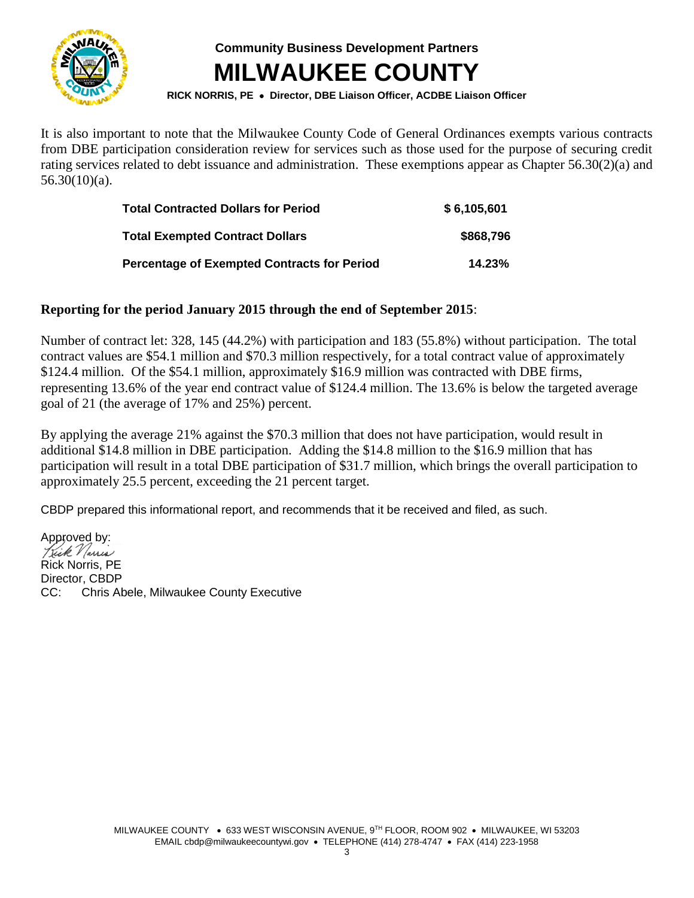

**Community Business Development Partners MILWAUKEE COUNTY**

**RICK NORRIS, PE Director, DBE Liaison Officer, ACDBE Liaison Officer**

It is also important to note that the Milwaukee County Code of General Ordinances exempts various contracts from DBE participation consideration review for services such as those used for the purpose of securing credit rating services related to debt issuance and administration. These exemptions appear as Chapter 56.30(2)(a) and  $56.30(10)(a)$ .

| <b>Total Contracted Dollars for Period</b>         | \$6,105,601 |
|----------------------------------------------------|-------------|
| <b>Total Exempted Contract Dollars</b>             | \$868,796   |
| <b>Percentage of Exempted Contracts for Period</b> | 14.23%      |

#### **Reporting for the period January 2015 through the end of September 2015**:

Number of contract let: 328, 145 (44.2%) with participation and 183 (55.8%) without participation. The total contract values are \$54.1 million and \$70.3 million respectively, for a total contract value of approximately \$124.4 million. Of the \$54.1 million, approximately \$16.9 million was contracted with DBE firms, representing 13.6% of the year end contract value of \$124.4 million. The 13.6% is below the targeted average goal of 21 (the average of 17% and 25%) percent.

By applying the average 21% against the \$70.3 million that does not have participation, would result in additional \$14.8 million in DBE participation. Adding the \$14.8 million to the \$16.9 million that has participation will result in a total DBE participation of \$31.7 million, which brings the overall participation to approximately 25.5 percent, exceeding the 21 percent target.

CBDP prepared this informational report, and recommends that it be received and filed, as such.

Approved by: Kick Varris Rick Norris, PE Director, CBDP CC: Chris Abele, Milwaukee County Executive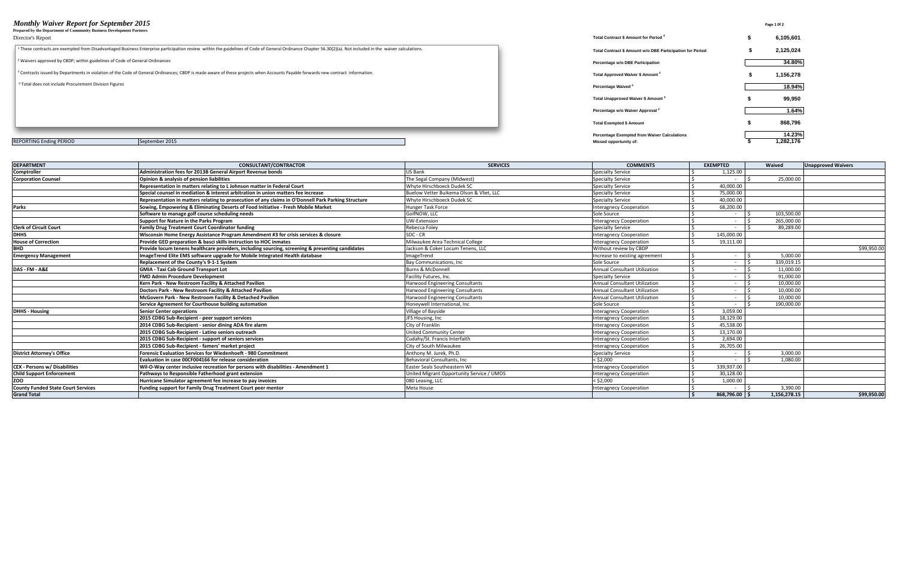#### *Monthly Waiver Report for September 2015* Page 1 0f 2

**Prepared by the Department of Community Business Development Partners**

#### Director's Report **Total Contract \$ Amount for Period <sup>4</sup>**

| гтератей by the Department of Community Business Development гагинегs                                                                                                                                                  |                                                           |           |
|------------------------------------------------------------------------------------------------------------------------------------------------------------------------------------------------------------------------|-----------------------------------------------------------|-----------|
| Director's Report                                                                                                                                                                                                      | Total Contract \$ Amount for Period 4                     | 6,105,601 |
| <sup>1</sup> These contracts are exempted from Disadvantaged Business Enterprise participation review within the guidelines of Code of General Ordinance Chapter 56.30(2)(a). Not included in the waiver calculations. | Total Contract \$ Amount w/o DBE Participation for Period | 2,125,024 |
| <sup>2</sup> Waivers approved by CBDP; within guidelines of Code of General Ordinances                                                                                                                                 | Percentage w/o DBE Participation                          | 34.80%    |
| <sup>3</sup> Contracts issued by Departments in violation of the Code of General Ordinances; CBDP is made aware of these projects when Accounts Payable forwards new contract information.                             | Total Approved Waiver \$ Amount <sup>2</sup>              | 1,156,278 |
| <sup>4</sup> Total does not include Procurement Division Figures                                                                                                                                                       | Percentage Waived <sup>2</sup>                            | 18.94%    |
|                                                                                                                                                                                                                        | Total Unapproved Waiver \$ Amount <sup>3</sup>            | 99,950    |
|                                                                                                                                                                                                                        | Percentage w/o Waiver Approval 3                          | 1.64%     |
|                                                                                                                                                                                                                        | <b>Total Exempted \$ Amount</b>                           | 868,796   |
|                                                                                                                                                                                                                        | <b>Percentage Exempted from Waiver Calculations</b>       | 14.23%    |
| September 2015<br><b>REPORTING Ending PERIOD</b>                                                                                                                                                                       | Missed opportunity of:                                    | 1,282,176 |

| <b>DEPARTMENT</b>                         | <b>CONSULTANT/CONTRACTOR</b>                                                                        | <b>SERVICES</b>                           | <b>COMMENTS</b>                      | <b>EXEMPTED</b> | Waived       | <b>Unapproved Waivers</b> |
|-------------------------------------------|-----------------------------------------------------------------------------------------------------|-------------------------------------------|--------------------------------------|-----------------|--------------|---------------------------|
| Comptroller                               | <b>Administration fees for 2013B General Airport Revenue bonds</b>                                  | <b>US Bank</b>                            | <b>Specialty Service</b>             | 1,125.00        |              |                           |
| <b>Corporation Counsel</b>                | Opinion & analysis of pension liabilities                                                           | The Segal Company (Midwest)               | <b>Specialty Service</b>             |                 | 25.000.00    |                           |
|                                           | Representation in matters relating to L Johnson matter in Federal Court                             | Whyte Hirschboeck Dudek SC                | Specialty Service                    | 40.000.00       |              |                           |
|                                           | Special counsel in mediation & interest arbitration in union matters fee increase                   | Buelow Vetter Buikema Olson & Vliet, LLC  | <b>Specialty Service</b>             | 75.000.00       |              |                           |
|                                           | Representation in matters relating to prosecution of any claims in O'Donnell Park Parking Structure | Whyte Hirschboeck Dudek SC                | <b>Specialty Service</b>             | 40.000.00       |              |                           |
| Parks                                     | Sowing, Empowering & Eliminating Deserts of Food Initiative - Fresh Mobile Market                   | <b>Hunger Task Force</b>                  | <b>Interagnecy Cooperation</b>       | 68.200.00       |              |                           |
|                                           | Software to manage golf course scheduling needs                                                     | GolfNOW. LLC                              | Sole Source                          | $\sim$          | 103.500.00   |                           |
|                                           | Support for Nature in the Parks Program                                                             | <b>UW-Extension</b>                       | <b>Interagnecy Cooperation</b>       | $\sim$          | 265,000.00   |                           |
| <b>Clerk of Circuit Court</b>             | <b>Family Drug Treatment Court Coordinator funding</b>                                              | Rebecca Foley                             | <b>Specialty Service</b>             |                 | 89,289.00    |                           |
| <b>DHHS</b>                               | Wisconsin Home Energy Assistance Program Amendment #3 for crisis services & closure                 | SDC - CR                                  | <b>Interagnecy Cooperation</b>       | 145,000.00      |              |                           |
| <b>House of Correction</b>                | Provide GED preparation & basci skills instruction to HOC inmates                                   | Milwaukee Area Technical College          | <b>Interagnecy Cooperation</b>       | 19,111.00       |              |                           |
|                                           | Provide locum tenens healthcare providers, including sourcing, screening & presenting candidates    | Jackson & Coker Locum Tenens, LLC         | Without review by CBDP               |                 |              | \$99,950.00               |
| <b>Emergency Management</b>               | ImageTrend Elite EMS software upgrade for Mobile Integrated Health database                         | ImageTrend                                | Increase to existing agreement       |                 | 5,000.00     |                           |
|                                           | Replacement of the County's 9-1-1 System                                                            | <b>Bay Communications, Inc.</b>           | Sole Source                          | $\sim$          | 339.019.15   |                           |
| DAS - FM - A&E                            | <b>GMIA - Taxi Cab Ground Transport Lot</b>                                                         | <b>Burns &amp; McDonnell</b>              | <b>Annual Consultant Utilization</b> | $\sim$          | 11.000.00    |                           |
|                                           | <b>FMD Admin Procedure Development</b>                                                              | Facility Futures, Inc.                    | <b>Specialty Service</b>             | $\sim$          | 91.000.00    |                           |
|                                           | Kern Park - New Restroom Facility & Attached Pavilion                                               | <b>Harwood Engineering Consultants</b>    | Annual Consultant Utilization        | $\sim$          | 10,000.00    |                           |
|                                           | Doctors Park - New Restroom Facility & Attached Pavilion                                            | <b>Harwood Engineering Consultants</b>    | <b>Annual Consultant Utilization</b> | $\sim$          | 10.000.00    |                           |
|                                           | McGovern Park - New Restroom Facility & Detached Pavilion                                           | <b>Harwood Engineering Consultants</b>    | Annual Consultant Utilization        | $\sim$          | 10.000.00    |                           |
|                                           | Service Agreement for Courthouse building automation                                                | Honeywell International, Inc.             | Sole Source                          |                 | 190,000.00   |                           |
| <b>DHHS - Housing</b>                     | <b>Senior Center operations</b>                                                                     | Village of Bayside                        | <b>Interagnecy Cooperation</b>       | 3.059.00        |              |                           |
|                                           | 2015 CDBG Sub-Recipient - peer support services                                                     | JFS Housing, Inc                          | <b>Interagnecy Cooperation</b>       | 18.129.00       |              |                           |
|                                           | 2014 CDBG Sub-Recipient - senior dining ADA fire alarm                                              | City of Franklin                          | <b>Interagnecy Cooperation</b>       | 45,538.00       |              |                           |
|                                           | 2015 CDBG Sub-Recipient - Latino seniors outreach                                                   | <b>United Community Center</b>            | <b>Interagnecy Cooperation</b>       | 13,170.00       |              |                           |
|                                           | 2015 CDBG Sub-Recipient - support of seniors services                                               | Cudahy/St. Francis Interfaith             | <b>Interagnecy Cooperation</b>       | 2.694.00        |              |                           |
|                                           | 2015 CDBG Sub-Recipient - famers' market project                                                    | City of South Milwaukee                   | <b>Interagnecy Cooperation</b>       | 26,705.00       |              |                           |
| <b>District Attorney's Office</b>         | Forensic Evaluation Services for Wiedenhoeft - 980 Commitment                                       | Anthony M. Jurek, Ph.D.                   | <b>Specialty Service</b>             |                 | 3.000.00     |                           |
|                                           | Evaluation in case 00CF004166 for release consideration                                             | Behavioral Consultants, Inc.              | $<$ \$2,000                          |                 | 1,080.00     |                           |
| <b>CEX - Persons w/ Disabilities</b>      | Wil-O-Way center inclusive recreation for persons with disabilities - Amendment 1                   | Easter Seals Southeastern WI              | <b>Interagnecy Cooperation</b>       | 339,937.00      |              |                           |
| <b>Child Support Enforcement</b>          | Pathways to Responsible Fatherhood grant extension                                                  | United Migrant Opportunity Service / UMOS | <b>Interagnecy Cooperation</b>       | 30,128.00       |              |                           |
| ZOO                                       | Hurricane Simulator agreement fee increase to pay invoices                                          | 080 Leasing, LLC                          | $<$ \$2.000                          | 1,000.00        |              |                           |
| <b>County Funded State Court Services</b> | <b>Funding support for Family Drug Treatment Court peer mentor</b>                                  | Meta House                                | <b>Interagnecy Cooperation</b>       |                 | 3,390.00     |                           |
| <b>Grand Total</b>                        |                                                                                                     |                                           |                                      | $868,796.00$ \$ | 1.156.278.15 | \$99,950.00               |